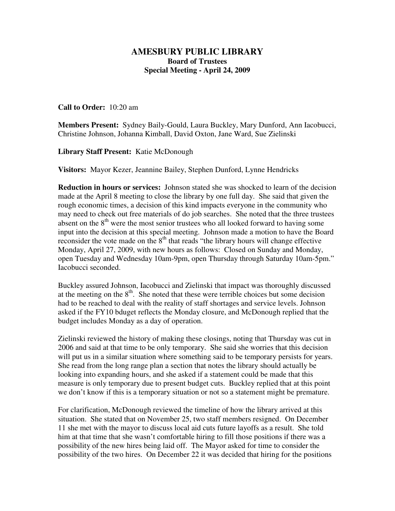## **AMESBURY PUBLIC LIBRARY Board of Trustees Special Meeting - April 24, 2009**

## **Call to Order:** 10:20 am

**Members Present:** Sydney Baily-Gould, Laura Buckley, Mary Dunford, Ann Iacobucci, Christine Johnson, Johanna Kimball, David Oxton, Jane Ward, Sue Zielinski

**Library Staff Present:** Katie McDonough

**Visitors:** Mayor Kezer, Jeannine Bailey, Stephen Dunford, Lynne Hendricks

**Reduction in hours or services:** Johnson stated she was shocked to learn of the decision made at the April 8 meeting to close the library by one full day. She said that given the rough economic times, a decision of this kind impacts everyone in the community who may need to check out free materials of do job searches. She noted that the three trustees absent on the  $8<sup>th</sup>$  were the most senior trustees who all looked forward to having some input into the decision at this special meeting. Johnson made a motion to have the Board reconsider the vote made on the  $8<sup>th</sup>$  that reads "the library hours will change effective Monday, April 27, 2009, with new hours as follows: Closed on Sunday and Monday, open Tuesday and Wednesday 10am-9pm, open Thursday through Saturday 10am-5pm." Iacobucci seconded.

Buckley assured Johnson, Iacobucci and Zielinski that impact was thoroughly discussed at the meeting on the  $8<sup>th</sup>$ . She noted that these were terrible choices but some decision had to be reached to deal with the reality of staff shortages and service levels. Johnson asked if the FY10 bduget reflects the Monday closure, and McDonough replied that the budget includes Monday as a day of operation.

Zielinski reviewed the history of making these closings, noting that Thursday was cut in 2006 and said at that time to be only temporary. She said she worries that this decision will put us in a similar situation where something said to be temporary persists for years. She read from the long range plan a section that notes the library should actually be looking into expanding hours, and she asked if a statement could be made that this measure is only temporary due to present budget cuts. Buckley replied that at this point we don't know if this is a temporary situation or not so a statement might be premature.

For clarification, McDonough reviewed the timeline of how the library arrived at this situation. She stated that on November 25, two staff members resigned. On December 11 she met with the mayor to discuss local aid cuts future layoffs as a result. She told him at that time that she wasn't comfortable hiring to fill those positions if there was a possibility of the new hires being laid off. The Mayor asked for time to consider the possibility of the two hires. On December 22 it was decided that hiring for the positions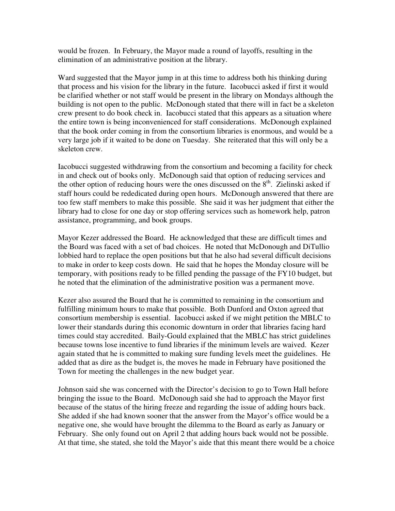would be frozen. In February, the Mayor made a round of layoffs, resulting in the elimination of an administrative position at the library.

Ward suggested that the Mayor jump in at this time to address both his thinking during that process and his vision for the library in the future. Iacobucci asked if first it would be clarified whether or not staff would be present in the library on Mondays although the building is not open to the public. McDonough stated that there will in fact be a skeleton crew present to do book check in. Iacobucci stated that this appears as a situation where the entire town is being inconvenienced for staff considerations. McDonough explained that the book order coming in from the consortium libraries is enormous, and would be a very large job if it waited to be done on Tuesday. She reiterated that this will only be a skeleton crew.

Iacobucci suggested withdrawing from the consortium and becoming a facility for check in and check out of books only. McDonough said that option of reducing services and the other option of reducing hours were the ones discussed on the  $8<sup>th</sup>$ . Zielinski asked if staff hours could be rededicated during open hours. McDonough answered that there are too few staff members to make this possible. She said it was her judgment that either the library had to close for one day or stop offering services such as homework help, patron assistance, programming, and book groups.

Mayor Kezer addressed the Board. He acknowledged that these are difficult times and the Board was faced with a set of bad choices. He noted that McDonough and DiTullio lobbied hard to replace the open positions but that he also had several difficult decisions to make in order to keep costs down. He said that he hopes the Monday closure will be temporary, with positions ready to be filled pending the passage of the FY10 budget, but he noted that the elimination of the administrative position was a permanent move.

Kezer also assured the Board that he is committed to remaining in the consortium and fulfilling minimum hours to make that possible. Both Dunford and Oxton agreed that consortium membership is essential. Iacobucci asked if we might petition the MBLC to lower their standards during this economic downturn in order that libraries facing hard times could stay accredited. Baily-Gould explained that the MBLC has strict guidelines because towns lose incentive to fund libraries if the minimum levels are waived. Kezer again stated that he is committed to making sure funding levels meet the guidelines. He added that as dire as the budget is, the moves he made in February have positioned the Town for meeting the challenges in the new budget year.

Johnson said she was concerned with the Director's decision to go to Town Hall before bringing the issue to the Board. McDonough said she had to approach the Mayor first because of the status of the hiring freeze and regarding the issue of adding hours back. She added if she had known sooner that the answer from the Mayor's office would be a negative one, she would have brought the dilemma to the Board as early as January or February. She only found out on April 2 that adding hours back would not be possible. At that time, she stated, she told the Mayor's aide that this meant there would be a choice